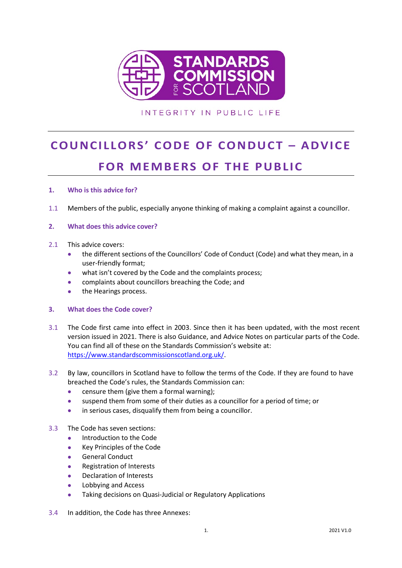

# INTEGRITY IN PUBLIC LIFE

# **COUNCILLORS' CODE OF CONDUCT – ADVICE FOR MEMBERS OF THE PUBLIC**

# **1. Who is this advice for?**

1.1 Members of the public, especially anyone thinking of making a complaint against a councillor.

#### **2. What does this advice cover?**

- 2.1 This advice covers:
	- the different sections of the Councillors' Code of Conduct (Code) and what they mean, in a user-friendly format;
	- what isn't covered by the Code and the complaints process;
	- complaints about councillors breaching the Code; and
	- the Hearings process.

#### **3. What does the Code cover?**

- 3.1 The Code first came into effect in 2003. Since then it has been updated, with the most recent version issued in 2021. There is also Guidance, and Advice Notes on particular parts of the Code. You can find all of these on the Standards Commission's website at: [https://www.standardscommissionscotland.org.uk/.](https://www.standardscommissionscotland.org.uk/)
- 3.2 By law, councillors in Scotland have to follow the terms of the Code. If they are found to have breached the Code's rules, the Standards Commission can:
	- censure them (give them a formal warning);
	- suspend them from some of their duties as a councillor for a period of time; or
	- in serious cases, disqualify them from being a councillor.

#### 3.3 The Code has seven sections:

- Introduction to the Code
- Key Principles of the Code
- General Conduct
- Registration of Interests
- Declaration of Interests
- Lobbying and Access
- Taking decisions on Quasi-Judicial or Regulatory Applications
- 3.4 In addition, the Code has three Annexes: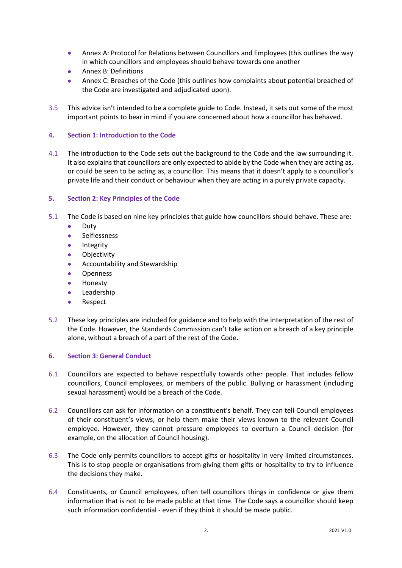- Annex A: Protocol for Relations between Councillors and Employees (this outlines the way in which councillors and employees should behave towards one another
- Annex B: Definitions
- Annex C: Breaches of the Code (this outlines how complaints about potential breached of the Code are investigated and adjudicated upon).
- 3.5 This advice isn't intended to be a complete guide to Code. Instead, it sets out some of the most important points to bear in mind if you are concerned about how a councillor has behaved.

#### **4. Section 1: Introduction to the Code**

4.1 The introduction to the Code sets out the background to the Code and the law surrounding it. It also explains that councillors are only expected to abide by the Code when they are acting as, or could be seen to be acting as, a councillor. This means that it doesn't apply to a councillor's private life and their conduct or behaviour when they are acting in a purely private capacity.

#### **5. Section 2: Key Principles of the Code**

- 5.1 The Code is based on nine key principles that guide how councillors should behave. These are:
	- Duty
	- Selflessness
	- Integrity
	- Objectivity
	- Accountability and Stewardship
	- Openness
	- Honesty
	- Leadership
	- Respect
- 5.2 These key principles are included for guidance and to help with the interpretation of the rest of the Code. However, the Standards Commission can't take action on a breach of a key principle alone, without a breach of a part of the rest of the Code.

#### **6. Section 3: General Conduct**

- 6.1 Councillors are expected to behave respectfully towards other people. That includes fellow councillors, Council employees, or members of the public. Bullying or harassment (including sexual harassment) would be a breach of the Code.
- 6.2 Councillors can ask for information on a constituent's behalf. They can tell Council employees of their constituent's views, or help them make their views known to the relevant Council employee. However, they cannot pressure employees to overturn a Council decision (for example, on the allocation of Council housing).
- 6.3 The Code only permits councillors to accept gifts or hospitality in very limited circumstances. This is to stop people or organisations from giving them gifts or hospitality to try to influence the decisions they make.
- 6.4 Constituents, or Council employees, often tell councillors things in confidence or give them information that is not to be made public at that time. The Code says a councillor should keep such information confidential - even if they think it should be made public.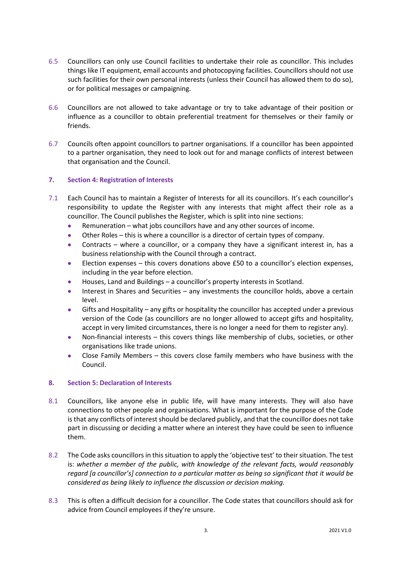- 6.5 Councillors can only use Council facilities to undertake their role as councillor. This includes things like IT equipment, email accounts and photocopying facilities. Councillors should not use such facilities for their own personal interests (unless their Council has allowed them to do so), or for political messages or campaigning.
- 6.6 Councillors are not allowed to take advantage or try to take advantage of their position or influence as a councillor to obtain preferential treatment for themselves or their family or friends.
- 6.7 Councils often appoint councillors to partner organisations. If a councillor has been appointed to a partner organisation, they need to look out for and manage conflicts of interest between that organisation and the Council.

# **7. Section 4: Registration of Interests**

- 7.1 Each Council has to maintain a Register of Interests for all its councillors. It's each councillor's responsibility to update the Register with any interests that might affect their role as a councillor. The Council publishes the Register, which is split into nine sections:
	- Remuneration what jobs councillors have and any other sources of income.
	- Other Roles this is where a councillor is a director of certain types of company.
	- Contracts where a councillor, or a company they have a significant interest in, has a business relationship with the Council through a contract.
	- Election expenses this covers donations above £50 to a councillor's election expenses, including in the year before election.
	- Houses, Land and Buildings a councillor's property interests in Scotland.
	- Interest in Shares and Securities any investments the councillor holds, above a certain level.
	- Gifts and Hospitality any gifts or hospitality the councillor has accepted under a previous version of the Code (as councillors are no longer allowed to accept gifts and hospitality, accept in very limited circumstances, there is no longer a need for them to register any).
	- Non-financial interests this covers things like membership of clubs, societies, or other organisations like trade unions.
	- Close Family Members this covers close family members who have business with the Council.

#### **8. Section 5: Declaration of Interests**

- 8.1 Councillors, like anyone else in public life, will have many interests. They will also have connections to other people and organisations. What is important for the purpose of the Code is that any conflicts of interest should be declared publicly, and that the councillor does not take part in discussing or deciding a matter where an interest they have could be seen to influence them.
- 8.2 The Code asks councillors in this situation to apply the 'objective test' to their situation. The test is: *whether a member of the public, with knowledge of the relevant facts, would reasonably regard [a councillor's] connection to a particular matter as being so significant that it would be considered as being likely to influence the discussion or decision making.*
- 8.3 This is often a difficult decision for a councillor. The Code states that councillors should ask for advice from Council employees if they're unsure.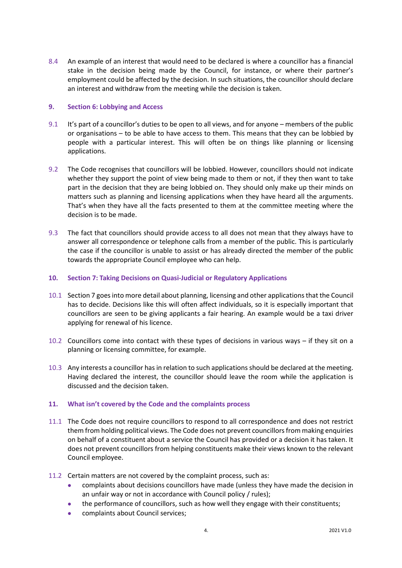8.4 An example of an interest that would need to be declared is where a councillor has a financial stake in the decision being made by the Council, for instance, or where their partner's employment could be affected by the decision. In such situations, the councillor should declare an interest and withdraw from the meeting while the decision is taken.

#### **9. Section 6: Lobbying and Access**

- 9.1 It's part of a councillor's duties to be open to all views, and for anyone members of the public or organisations – to be able to have access to them. This means that they can be lobbied by people with a particular interest. This will often be on things like planning or licensing applications.
- 9.2 The Code recognises that councillors will be lobbied. However, councillors should not indicate whether they support the point of view being made to them or not, if they then want to take part in the decision that they are being lobbied on. They should only make up their minds on matters such as planning and licensing applications when they have heard all the arguments. That's when they have all the facts presented to them at the committee meeting where the decision is to be made.
- 9.3 The fact that councillors should provide access to all does not mean that they always have to answer all correspondence or telephone calls from a member of the public. This is particularly the case if the councillor is unable to assist or has already directed the member of the public towards the appropriate Council employee who can help.

# **10. Section 7: Taking Decisions on Quasi-Judicial or Regulatory Applications**

- 10.1 Section 7 goes into more detail about planning, licensing and other applications that the Council has to decide. Decisions like this will often affect individuals, so it is especially important that councillors are seen to be giving applicants a fair hearing. An example would be a taxi driver applying for renewal of his licence.
- 10.2 Councillors come into contact with these types of decisions in various ways if they sit on a planning or licensing committee, for example.
- 10.3 Any interests a councillor has in relation to such applications should be declared at the meeting. Having declared the interest, the councillor should leave the room while the application is discussed and the decision taken.

#### **11. What isn't covered by the Code and the complaints process**

- 11.1 The Code does not require councillors to respond to all correspondence and does not restrict them from holding political views. The Code does not prevent councillors from making enquiries on behalf of a constituent about a service the Council has provided or a decision it has taken. It does not prevent councillors from helping constituents make their views known to the relevant Council employee.
- 11.2 Certain matters are not covered by the complaint process, such as:
	- complaints about decisions councillors have made (unless they have made the decision in an unfair way or not in accordance with Council policy / rules);
	- the performance of councillors, such as how well they engage with their constituents;
	- complaints about Council services;